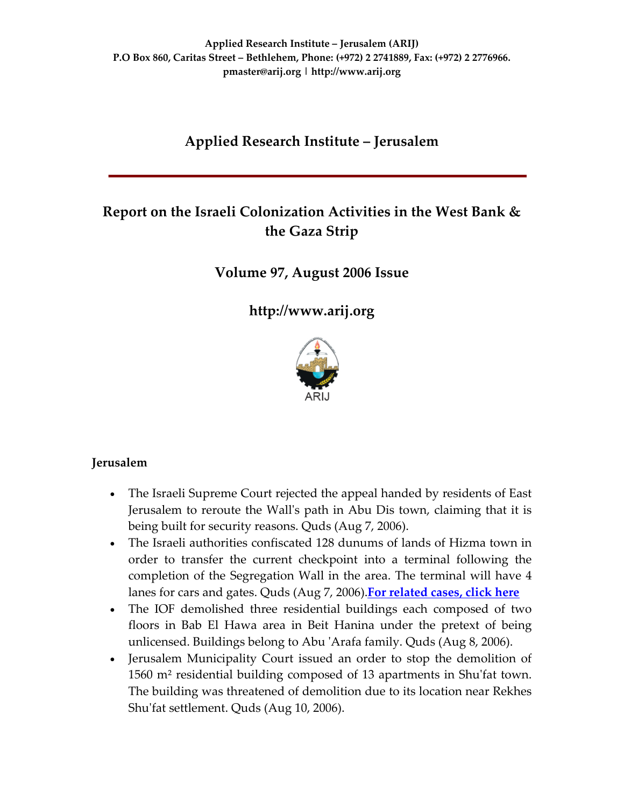# **Applied Research Institute – Jerusalem**

# **Report on the Israeli Colonization Activities in the West Bank & the Gaza Strip**

## **Volume 97, August 2006 Issue**

**[http://www.arij.org](http://www.arij.org/)**



### **Jerusalem**

- The Israeli Supreme Court rejected the appeal handed by residents of East Jerusalem to reroute the Wallʹs path in Abu Dis town, claiming that it is being built for security reasons. Quds (Aug 7, 2006).
- The Israeli authorities confiscated 128 dunums of lands of Hizma town in order to transfer the current checkpoint into a terminal following the completion of the Segregation Wall in the area. The terminal will have 4 lanes for cars and gates. Quds (Aug 7, 2006).**For [related](http://www.poica.org/editor/case_studies/view.php?recordID=546) cases, click here**
- The IOF demolished three residential buildings each composed of two floors in Bab El Hawa area in Beit Hanina under the pretext of being unlicensed. Buildings belong to Abu ʹArafa family. Quds (Aug 8, 2006).
- Jerusalem Municipality Court issued an order to stop the demolition of 1560 m² residential building composed of 13 apartments in Shuʹfat town. The building was threatened of demolition due to its location near Rekhes Shu'fat settlement. Quds (Aug 10, 2006).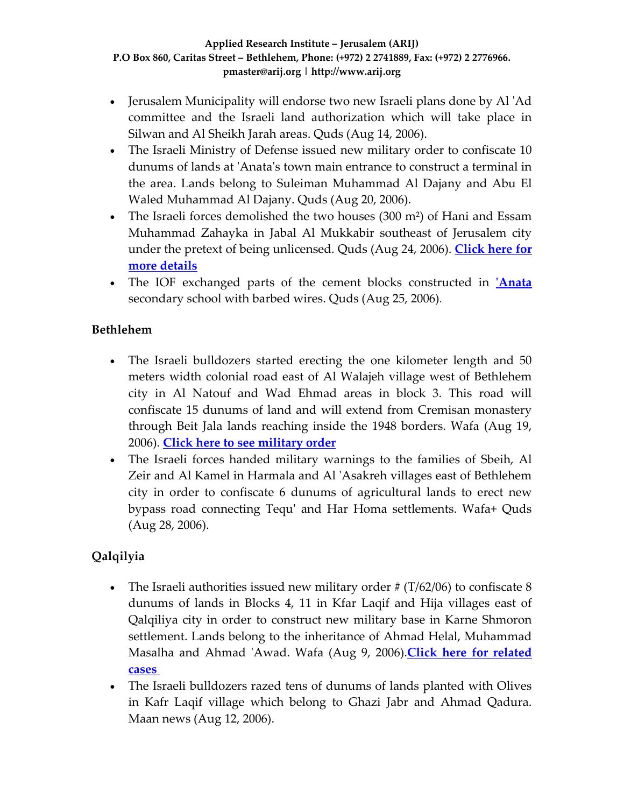- Jerusalem Municipality will endorse two new Israeli plans done by Al ʹAd committee and the Israeli land authorization which will take place in Silwan and Al Sheikh Jarah areas. Quds (Aug 14, 2006).
- The Israeli Ministry of Defense issued new military order to confiscate 10 dunums of lands at ʹAnataʹs town main entrance to construct a terminal in the area. Lands belong to Suleiman Muhammad Al Dajany and Abu El Waled Muhammad Al Dajany. Quds (Aug 20, 2006).
- The Israeli forces demolished the two houses (300 m<sup>2</sup>) of Hani and Essam Muhammad Zahayka in Jabal Al Mukkabir southeast of Jerusalem city under the pretext of being unlicensed. Quds (Aug 24, 2006). **[Click](http://www.poica.org/editor/case_studies/view.php?recordID=899) here for more [details](http://www.poica.org/editor/case_studies/view.php?recordID=899)**
- The IOF exchanged parts of the cement blocks constructed in *[Anata](http://www.poica.org/editor/case_studies/view.php?recordID=661)* secondary school with barbed wires. Quds (Aug 25, 2006).

## **Bethlehem**

- The Israeli bulldozers started erecting the one kilometer length and 50 meters width colonial road east of Al Walajeh village west of Bethlehem city in Al Natouf and Wad Ehmad areas in block 3. This road will confiscate 15 dunums of land and will extend from Cremisan monastery through Beit Jala lands reaching inside the 1948 borders. Wafa (Aug 19, 2006). **Click here to see [military](http://orders.arij.org/scanned/MO_2006_04_11_101700.jpg) order**
- The Israeli forces handed military warnings to the families of Sbeih, Al Zeir and Al Kamel in Harmala and Al ʹAsakreh villages east of Bethlehem city in order to confiscate 6 dunums of agricultural lands to erect new bypass road connecting Tequʹ and Har Homa settlements. Wafa+ Quds (Aug 28, 2006).

## **Qalqilyia**

- The Israeli authorities issued new military order  $\#$  (T/62/06) to confiscate 8 dunums of lands in Blocks 4, 11 in Kfar Laqif and Hija villages east of Qalqiliya city in order to construct new military base in Karne Shmoron settlement. Lands belong to the inheritance of Ahmad Helal, Muhammad Masalha and Ahmad ʹAwad. Wafa (Aug 9, 2006).**Click here for [related](http://www.poica.org/editor/case_studies/view.php?recordID=881) [cases](http://www.poica.org/editor/case_studies/view.php?recordID=881)**
- The Israeli bulldozers razed tens of dunums of lands planted with Olives in Kafr Laqif village which belong to Ghazi Jabr and Ahmad Qadura. Maan news (Aug 12, 2006).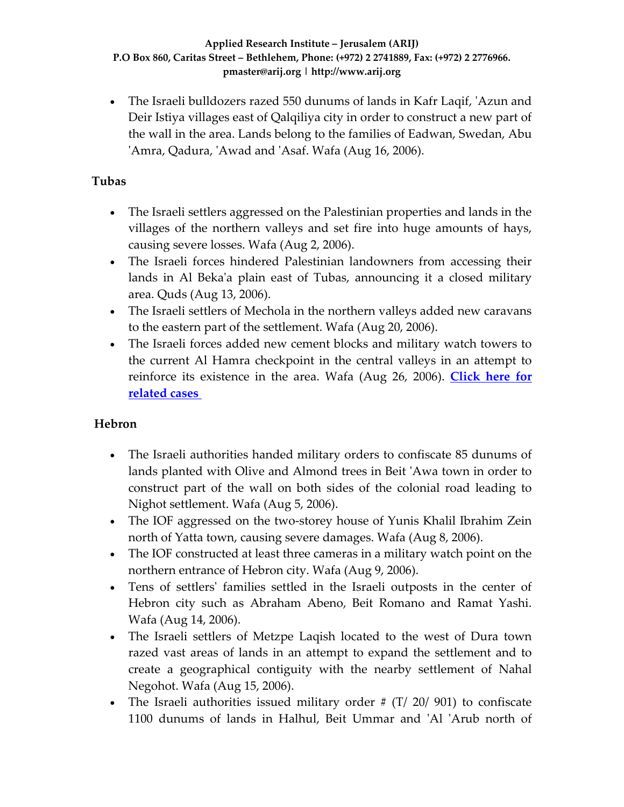• The Israeli bulldozers razed 550 dunums of lands in Kafr Laqif, ʹAzun and Deir Istiya villages east of Qalqiliya city in order to construct a new part of the wall in the area. Lands belong to the families of Eadwan, Swedan, Abu 'Amra, Qadura, 'Awad and 'Asaf. Wafa (Aug 16, 2006).

## **Tubas**

- The Israeli settlers aggressed on the Palestinian properties and lands in the villages of the northern valleys and set fire into huge amounts of hays, causing severe losses. Wafa (Aug 2, 2006).
- The Israeli forces hindered Palestinian landowners from accessing their lands in Al Bekaʹa plain east of Tubas, announcing it a closed military area. Quds (Aug 13, 2006).
- The Israeli settlers of Mechola in the northern valleys added new caravans to the eastern part of the settlement. Wafa (Aug 20, 2006).
- The Israeli forces added new cement blocks and military watch towers to the current Al Hamra checkpoint in the central valleys in an attempt to reinforce its existence in the area. Wafa (Aug 26, 2006). **[Click](http://www.poica.org/editor/case_studies/view.php?recordID=752) here for [related](http://www.poica.org/editor/case_studies/view.php?recordID=752) cases**

## **Hebron**

- The Israeli authorities handed military orders to confiscate 85 dunums of lands planted with Olive and Almond trees in Beit ʹAwa town in order to construct part of the wall on both sides of the colonial road leading to Nighot settlement. Wafa (Aug 5, 2006).
- The IOF aggressed on the two-storey house of Yunis Khalil Ibrahim Zein north of Yatta town, causing severe damages. Wafa (Aug 8, 2006).
- The IOF constructed at least three cameras in a military watch point on the northern entrance of Hebron city. Wafa (Aug 9, 2006).
- Tens of settlers' families settled in the Israeli outposts in the center of Hebron city such as Abraham Abeno, Beit Romano and Ramat Yashi. Wafa (Aug 14, 2006).
- The Israeli settlers of Metzpe Laqish located to the west of Dura town razed vast areas of lands in an attempt to expand the settlement and to create a geographical contiguity with the nearby settlement of Nahal Negohot. Wafa (Aug 15, 2006).
- The Israeli authorities issued military order  $\#$  (T/ 20/ 901) to confiscate 1100 dunums of lands in Halhul, Beit Ummar and ʹAl ʹArub north of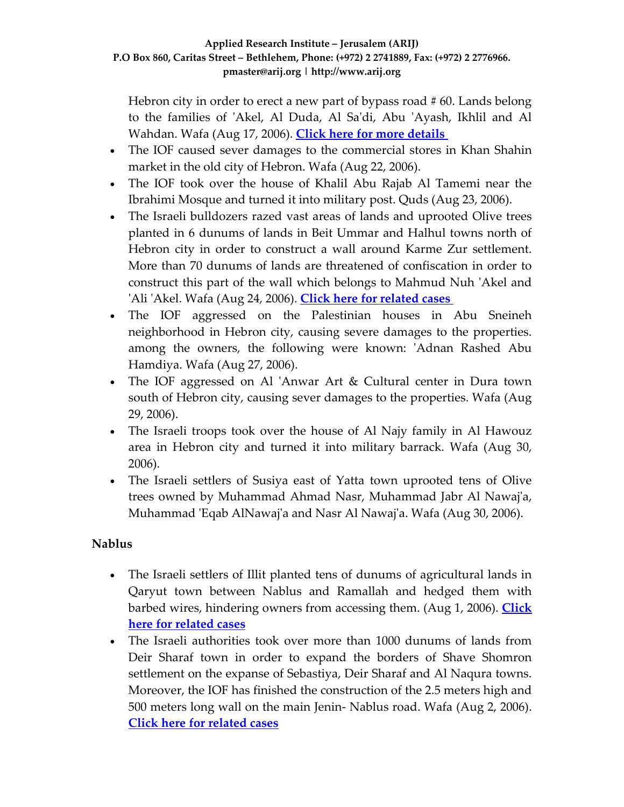Hebron city in order to erect a new part of bypass road # 60. Lands belong to the families of ʹAkel, Al Duda, Al Saʹdi, Abu ʹAyash, Ikhlil and Al Wahdan. Wafa (Aug 17, 2006). **Click here for more [details](http://www.poica.org/editor/case_studies/view.php?recordID=897)**

- The IOF caused sever damages to the commercial stores in Khan Shahin market in the old city of Hebron. Wafa (Aug 22, 2006).
- The IOF took over the house of Khalil Abu Rajab Al Tamemi near the Ibrahimi Mosque and turned it into military post. Quds (Aug 23, 2006).
- The Israeli bulldozers razed vast areas of lands and uprooted Olive trees planted in 6 dunums of lands in Beit Ummar and Halhul towns north of Hebron city in order to construct a wall around Karme Zur settlement. More than 70 dunums of lands are threatened of confiscation in order to construct this part of the wall which belongs to Mahmud Nuh ʹAkel and ʹAli ʹAkel. Wafa (Aug 24, 2006). **Click here for [related](http://www.poica.org/editor/case_studies/view.php?recordID=887) cases**
- The IOF aggressed on the Palestinian houses in Abu Sneineh neighborhood in Hebron city, causing severe damages to the properties. among the owners, the following were known: 'Adnan Rashed Abu Hamdiya. Wafa (Aug 27, 2006).
- The IOF aggressed on Al 'Anwar Art & Cultural center in Dura town south of Hebron city, causing sever damages to the properties. Wafa (Aug 29, 2006).
- The Israeli troops took over the house of Al Najy family in Al Hawouz area in Hebron city and turned it into military barrack. Wafa (Aug 30, 2006).
- The Israeli settlers of Susiya east of Yatta town uprooted tens of Olive trees owned by Muhammad Ahmad Nasr, Muhammad Jabr Al Nawajʹa, Muhammad ʹEqab AlNawajʹa and Nasr Al Nawajʹa. Wafa (Aug 30, 2006).

## **Nablus**

- The Israeli settlers of Illit planted tens of dunums of agricultural lands in Qaryut town between Nablus and Ramallah and hedged them with barbed wires, hindering owners from accessing them. (Aug 1, 2006). **[Click](http://www.poica.org/editor/case_studies/view.php?recordID=885) here for [related](http://www.poica.org/editor/case_studies/view.php?recordID=885) cases**
- The Israeli authorities took over more than 1000 dunums of lands from Deir Sharaf town in order to expand the borders of Shave Shomron settlement on the expanse of Sebastiya, Deir Sharaf and Al Naqura towns. Moreover, the IOF has finished the construction of the 2.5 meters high and 500 meters long wall on the main Jenin‐ Nablus road. Wafa (Aug 2, 2006). **Click here for [related](http://www.poica.org/editor/case_studies/view.php?recordID=852) cases**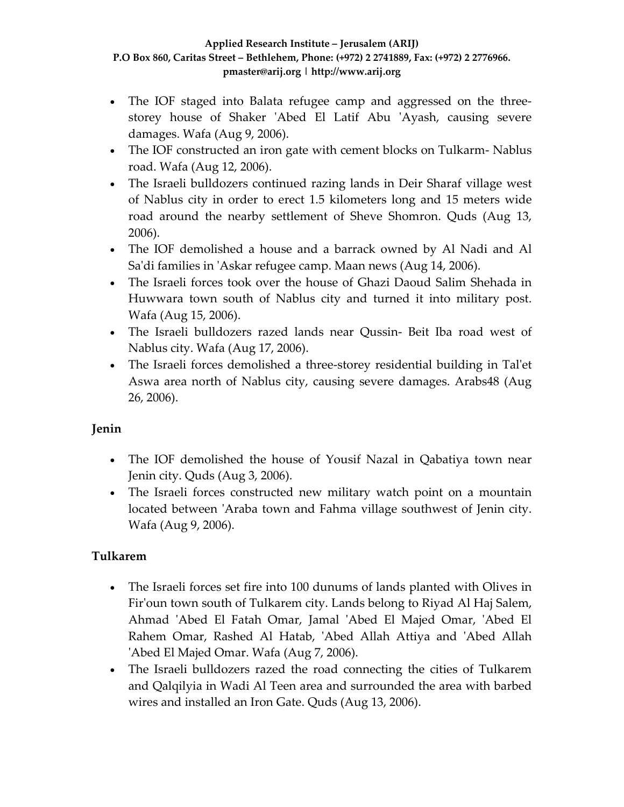- The IOF staged into Balata refugee camp and aggressed on the threestorey house of Shaker 'Abed El Latif Abu 'Ayash, causing severe damages. Wafa (Aug 9, 2006).
- The IOF constructed an iron gate with cement blocks on Tulkarm-Nablus road. Wafa (Aug 12, 2006).
- The Israeli bulldozers continued razing lands in Deir Sharaf village west of Nablus city in order to erect 1.5 kilometers long and 15 meters wide road around the nearby settlement of Sheve Shomron. Quds (Aug 13, 2006).
- The IOF demolished a house and a barrack owned by Al Nadi and Al Sa'di families in 'Askar refugee camp. Maan news (Aug 14, 2006).
- The Israeli forces took over the house of Ghazi Daoud Salim Shehada in Huwwara town south of Nablus city and turned it into military post. Wafa (Aug 15, 2006).
- The Israeli bulldozers razed lands near Qussin- Beit Iba road west of Nablus city. Wafa (Aug 17, 2006).
- The Israeli forces demolished a three-storey residential building in Tal'et Aswa area north of Nablus city, causing severe damages. Arabs48 (Aug 26, 2006).

## **Jenin**

- The IOF demolished the house of Yousif Nazal in Qabatiya town near Jenin city. Quds (Aug 3, 2006).
- The Israeli forces constructed new military watch point on a mountain located between 'Araba town and Fahma village southwest of Jenin city. Wafa (Aug 9, 2006).

## **Tulkarem**

- The Israeli forces set fire into 100 dunums of lands planted with Olives in Firʹoun town south of Tulkarem city. Lands belong to Riyad Al Haj Salem, Ahmad ʹAbed El Fatah Omar, Jamal ʹAbed El Majed Omar, ʹAbed El Rahem Omar, Rashed Al Hatab, 'Abed Allah Attiya and 'Abed Allah ʹAbed El Majed Omar. Wafa (Aug 7, 2006).
- The Israeli bulldozers razed the road connecting the cities of Tulkarem and Qalqilyia in Wadi Al Teen area and surrounded the area with barbed wires and installed an Iron Gate. Quds (Aug 13, 2006).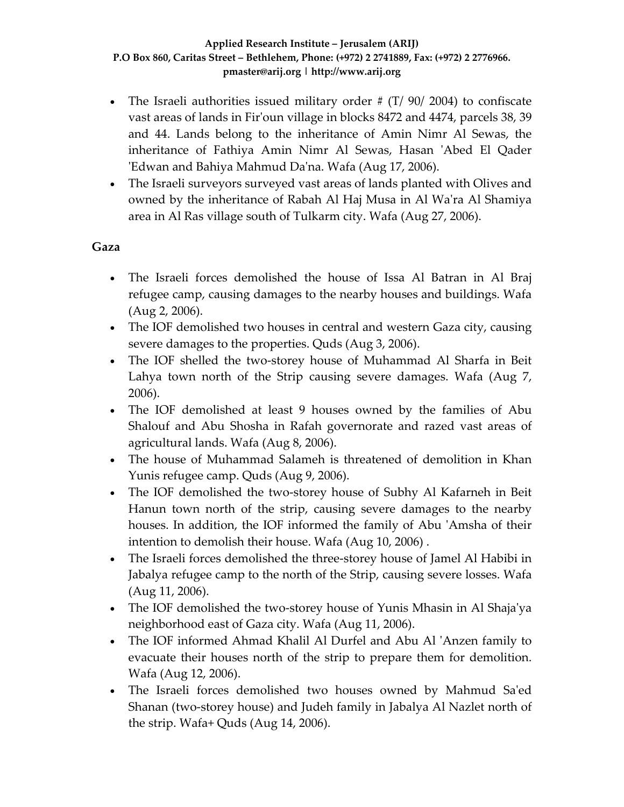- The Israeli authorities issued military order  $\#$  (T/ 90/ 2004) to confiscate vast areas of lands in Firʹoun village in blocks 8472 and 4474, parcels 38, 39 and 44. Lands belong to the inheritance of Amin Nimr Al Sewas, the inheritance of Fathiya Amin Nimr Al Sewas, Hasan ʹAbed El Qader ʹEdwan and Bahiya Mahmud Daʹna. Wafa (Aug 17, 2006).
- The Israeli surveyors surveyed vast areas of lands planted with Olives and owned by the inheritance of Rabah Al Haj Musa in Al Waʹra Al Shamiya area in Al Ras village south of Tulkarm city. Wafa (Aug 27, 2006).

### **Gaza**

- The Israeli forces demolished the house of Issa Al Batran in Al Braj refugee camp, causing damages to the nearby houses and buildings. Wafa (Aug 2, 2006).
- The IOF demolished two houses in central and western Gaza city, causing severe damages to the properties. Quds (Aug 3, 2006).
- The IOF shelled the two-storey house of Muhammad Al Sharfa in Beit Lahya town north of the Strip causing severe damages. Wafa (Aug 7, 2006).
- The IOF demolished at least 9 houses owned by the families of Abu Shalouf and Abu Shosha in Rafah governorate and razed vast areas of agricultural lands. Wafa (Aug 8, 2006).
- The house of Muhammad Salameh is threatened of demolition in Khan Yunis refugee camp. Quds (Aug 9, 2006).
- The IOF demolished the two-storey house of Subhy Al Kafarneh in Beit Hanun town north of the strip, causing severe damages to the nearby houses. In addition, the IOF informed the family of Abu 'Amsha of their intention to demolish their house. Wafa (Aug 10, 2006) .
- The Israeli forces demolished the three-storey house of Jamel Al Habibi in Jabalya refugee camp to the north of the Strip, causing severe losses. Wafa (Aug 11, 2006).
- The IOF demolished the two-storey house of Yunis Mhasin in Al Shaja'ya neighborhood east of Gaza city. Wafa (Aug 11, 2006).
- The IOF informed Ahmad Khalil Al Durfel and Abu Al 'Anzen family to evacuate their houses north of the strip to prepare them for demolition. Wafa (Aug 12, 2006).
- The Israeli forces demolished two houses owned by Mahmud Saʹed Shanan (two‐storey house) and Judeh family in Jabalya Al Nazlet north of the strip. Wafa+ Quds (Aug 14, 2006).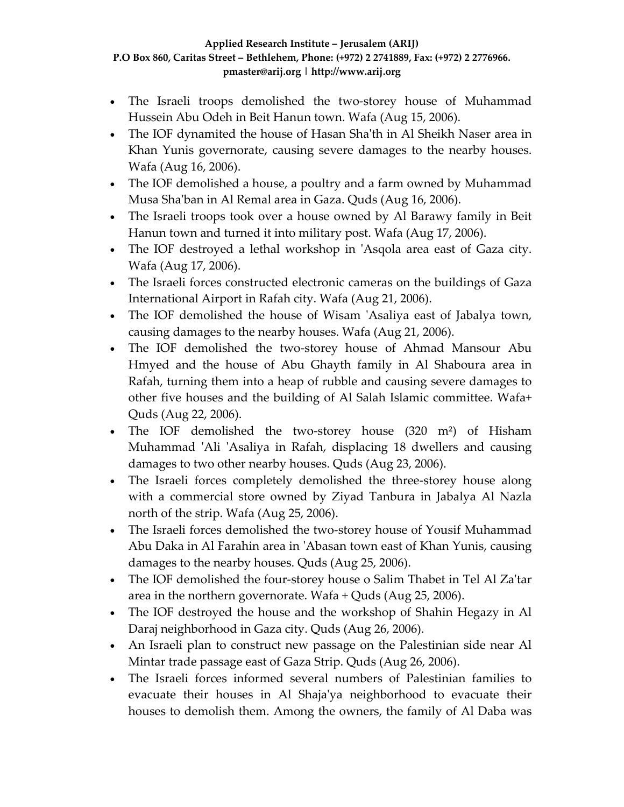- The Israeli troops demolished the two-storey house of Muhammad Hussein Abu Odeh in Beit Hanun town. Wafa (Aug 15, 2006).
- The IOF dynamited the house of Hasan Sha'th in Al Sheikh Naser area in Khan Yunis governorate, causing severe damages to the nearby houses. Wafa (Aug 16, 2006).
- The IOF demolished a house, a poultry and a farm owned by Muhammad Musa Shaʹban in Al Remal area in Gaza. Quds (Aug 16, 2006).
- The Israeli troops took over a house owned by Al Barawy family in Beit Hanun town and turned it into military post. Wafa (Aug 17, 2006).
- The IOF destroyed a lethal workshop in 'Asqola area east of Gaza city. Wafa (Aug 17, 2006).
- The Israeli forces constructed electronic cameras on the buildings of Gaza International Airport in Rafah city. Wafa (Aug 21, 2006).
- The IOF demolished the house of Wisam 'Asaliya east of Jabalya town, causing damages to the nearby houses. Wafa (Aug 21, 2006).
- The IOF demolished the two-storey house of Ahmad Mansour Abu Hmyed and the house of Abu Ghayth family in Al Shaboura area in Rafah, turning them into a heap of rubble and causing severe damages to other five houses and the building of Al Salah Islamic committee. Wafa+ Quds (Aug 22, 2006).
- The IOF demolished the two-storey house (320 m<sup>2</sup>) of Hisham Muhammad 'Ali 'Asaliya in Rafah, displacing 18 dwellers and causing damages to two other nearby houses. Quds (Aug 23, 2006).
- The Israeli forces completely demolished the three-storey house along with a commercial store owned by Ziyad Tanbura in Jabalya Al Nazla north of the strip. Wafa (Aug 25, 2006).
- The Israeli forces demolished the two-storey house of Yousif Muhammad Abu Daka in Al Farahin area in ʹAbasan town east of Khan Yunis, causing damages to the nearby houses. Quds (Aug 25, 2006).
- The IOF demolished the four-storey house o Salim Thabet in Tel Al Za'tar area in the northern governorate. Wafa + Quds (Aug 25, 2006).
- The IOF destroyed the house and the workshop of Shahin Hegazy in Al Daraj neighborhood in Gaza city. Quds (Aug 26, 2006).
- An Israeli plan to construct new passage on the Palestinian side near Al Mintar trade passage east of Gaza Strip. Quds (Aug 26, 2006).
- The Israeli forces informed several numbers of Palestinian families to evacuate their houses in Al Shajaʹya neighborhood to evacuate their houses to demolish them. Among the owners, the family of Al Daba was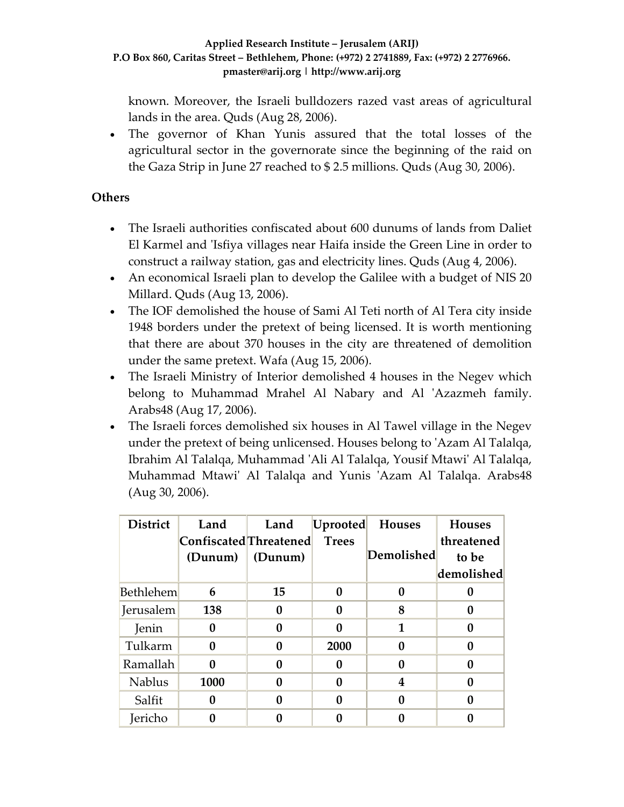known. Moreover, the Israeli bulldozers razed vast areas of agricultural lands in the area. Quds (Aug 28, 2006).

• The governor of Khan Yunis assured that the total losses of the agricultural sector in the governorate since the beginning of the raid on the Gaza Strip in June 27 reached to \$ 2.5 millions. Quds (Aug 30, 2006).

## **Others**

- The Israeli authorities confiscated about 600 dunums of lands from Daliet El Karmel and ʹIsfiya villages near Haifa inside the Green Line in order to construct a railway station, gas and electricity lines. Quds (Aug 4, 2006).
- An economical Israeli plan to develop the Galilee with a budget of NIS 20 Millard. Quds (Aug 13, 2006).
- The IOF demolished the house of Sami Al Teti north of Al Tera city inside 1948 borders under the pretext of being licensed. It is worth mentioning that there are about 370 houses in the city are threatened of demolition under the same pretext. Wafa (Aug 15, 2006).
- The Israeli Ministry of Interior demolished 4 houses in the Negev which belong to Muhammad Mrahel Al Nabary and Al 'Azazmeh family. Arabs48 (Aug 17, 2006).
- The Israeli forces demolished six houses in Al Tawel village in the Negev under the pretext of being unlicensed. Houses belong to ʹAzam Al Talalqa, Ibrahim Al Talalqa, Muhammad ʹAli Al Talalqa, Yousif Mtawiʹ Al Talalqa, Muhammad Mtawi' Al Talalqa and Yunis 'Azam Al Talalqa. Arabs48 (Aug 30, 2006).

| <b>District</b>  | Land                   | Land    | Uprooted     | <b>Houses</b>    | <b>Houses</b> |
|------------------|------------------------|---------|--------------|------------------|---------------|
|                  | Confiscated Threatened |         | <b>Trees</b> |                  | threatened    |
|                  | (Dunum)                | (Dunum) |              | Demolished       | to be         |
|                  |                        |         |              |                  | demolished    |
| <b>Bethlehem</b> | 6                      | 15      | 0            | 0                |               |
| Jerusalem        | 138                    |         | 0            | 8                | 0             |
| Jenin            | 0                      |         | 0            | 1                | 0             |
| Tulkarm          | 0                      |         | 2000         | 0                | 0             |
| Ramallah         | O                      |         | 0            | 0                |               |
| <b>Nablus</b>    | 1000                   |         | 0            | 4                | 0             |
| Salfit           | 0                      |         | 0            | $\boldsymbol{0}$ | 0             |
| Jericho          |                        |         |              |                  |               |